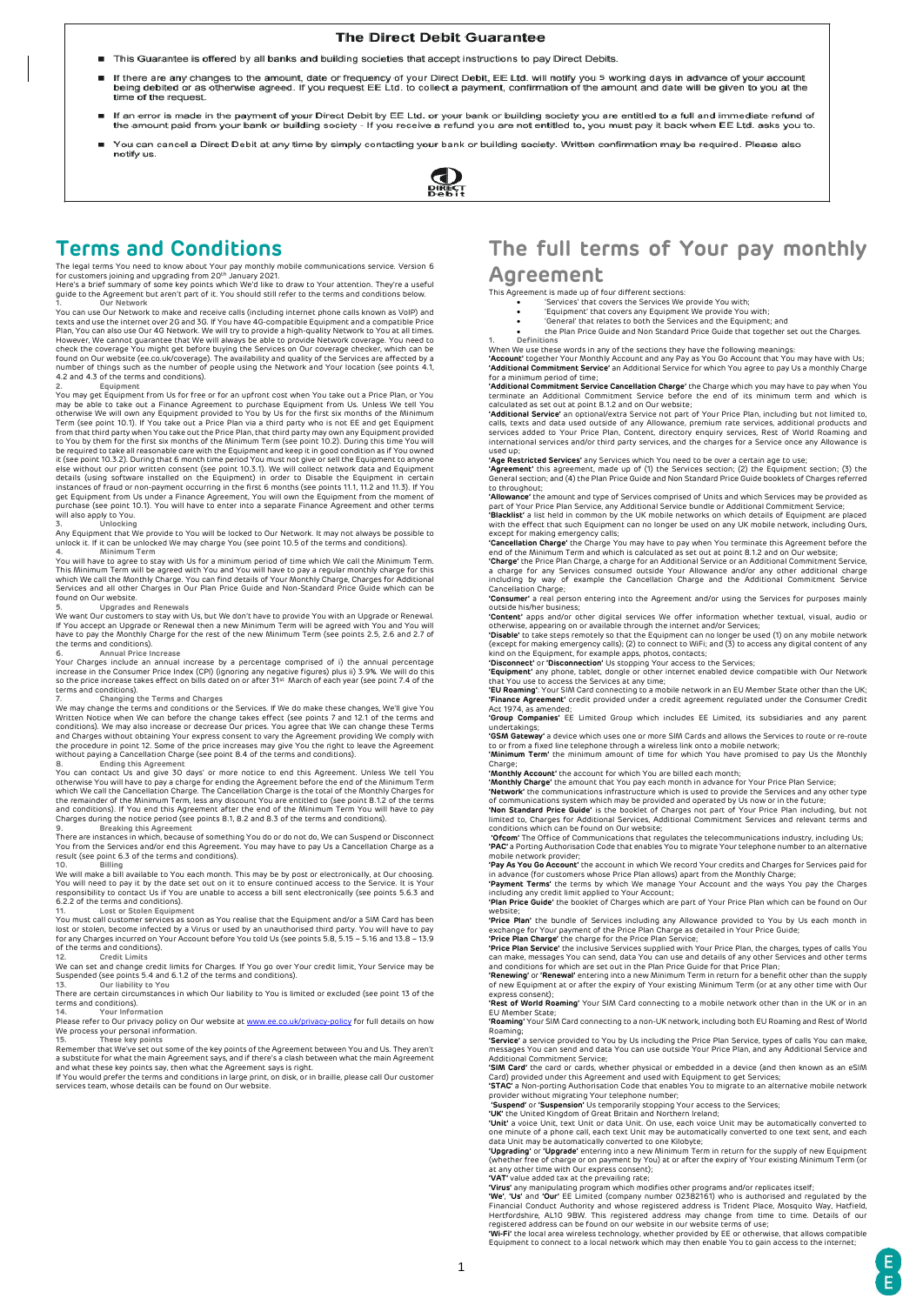### The Direct Debit Guarantee

- This Guarantee is offered by all banks and building societies that accept instructions to pay Direct Debits ۰.
- If there are any changes to the amount, date or frequency of your Direct Debit, EE Ltd. will notify you 5 working days in advance of your account<br>being debited or as otherwise agreed. If you request EE Ltd. to collect a pa time of the request
- If an error is made in the payment of your Direct Debit by EE Ltd. or your bank or building society you are entitled to a full and immediate refund of<br>the amount paid from your bank or building society If you receive a r
- You can cancel a Direct Debit at any time by simply contacting your bank or building society. Written confirmation may be required. Please also notify us



## **Terms and Conditions**

The legal terms You need to know about Your pay monthly mobile communications service. Version 6<br>for customers joining and upgrading from 20<sup>th</sup> January 2021.<br>Here's a brief summary of some key points which We'd like to dr

1.<br>
You can use Our Network to make and receive calls (including internet phone calls known as VolP) and<br>
texts and use the internet over 2G and 3G. If You have 4G-compatible Equipment and a compatible Price<br>
Plan, You can [4.2](#page-1-1) an[d 4.3](#page-1-2) of the terms and conditions).<br>2. Equipment

2. Equipment<br>You may get Equipment from Us for free or for an upfront cost when You take out a Price Plan, or You<br>may be able to take out a Finance Agreement to purchase Equipment from Us. Unless We tell You<br>otherwise We w to You by them for the first six months of the Minimum Term (see point [10.2\)](#page-2-1). During this time You will<br>be required to take all reasonable care with the Equipment and keep it in good condition as if You owned<br>it (see point purchase (see poin[t 10.1\).](#page-2-0) You will have to enter into a separate Finance Agreement and other terms will also apply to You.

**3. Unlocking** Any Equipment that We provide to You will be locked to Our Network. It may not always be possible to unlock it. If it can be unlocked We may charge You (see poin[t 10.5](#page-2-6) of the terms and conditions).

4.<br>You will have to agree to stay with Us for a minimum period of time which We call the Minimum Term.<br>This Minimum Term will be agreed with You and You will have to pay a regular monthly charge for this<br>which We call the

found on Our website.<br>
5.<br>
S. Upgrades and Renewals<br>
We want Our customers to stay with Us, but We don't have to provide You with an Upgrade or Renewal.<br>
If You accept an Upgrade or Renewal then a new Minimum Term will be

terms and Conditions).<br>T. Changing the Terms and Charges<br>We may change the terms and conditions or the Services. If We do make these changes, We'll give You<br>Written Notice when We can before the change takes effect (see po

8.<br>You can contact Us and give 30 days' or more notice to end this Agreement. Unless We tell You<br>otherwise You will have to pay a charge for ending the Agreement before the end of the Minimum Term<br>which We call the Cancell

**9. Breaking this Agreement**  There are instances in which, because of something You do or do not do, We can Suspend or Disconnect You from the Services and/or end this Agreement. You may have to pay Us a Cancellation Charge as a result (see poin[t 6.3](#page-2-11) of the terms and conditions).

10.<br>We will make a bill available to You each month. This may be by post or electronically, at Our choosing.<br>You will need to pay it by the date set out on it to ensure continued access to the Service. It is Your<br>responsib

once of the control of the **Lost or Stolen Equipment**<br>- 11. **Lost or Stolen Equipment**<br>- You must call customer services as soon as You realise that the Equipment and/or a SIM Card has been

You must call customer services as soon as You realise that the Equipment and/or a SIM Card has been<br>lost or stolen, become infected by a Virus or used by an unauthorised third party. You will have to pay<br>for any Charges i

Suspended (see point[s 5.4](#page-1-7) an[d 6.1.2](#page-2-16) of the terms and conditions).<br>13. Our liability to You

**13. Our liability to You** 

There are certain circumstances in which Our liability to You is limited or excluded (see poin[t 13](#page-3-4) of the<br>Terms and conditions).<br>Thease refer to Our privary policy on Our website at <u>www.ee.co.uk/privacy-policy</u> for full d

and what these key points say, then what the Agreement says is right. If You would prefer the terms and conditions in large print, on disk, or in braille, please call Our customer

services team, whose details can be found on Our website.

# **The full terms of Your pay monthly Agreement**

This Agreement is made up of four different sections: • 'Services' that covers the Services We provide You with;

• 'Equipment' that covers any Equipment We provide You with; • 'General' that relates to both the Services and the Equipment; and • the Plan Price Guide and Non Standard Price Guide that together set out the Charges. **1. Definitions** 

When We use these words in any of the sections they have the following meanings: **'Account'** together Your Monthly Account and any Pay as You Go Account that You may have with Us;<br>'Additional Commitment Service' an Additional Service for which You agree to pay Us a monthly Charge

"Additional Commitment Service" an Additional Service for which You agree to pay Us a monthly Charge<br>for a minimum period of time;<br>"Additional Commitment Service Cancellation Charge" the Charge which you may have to pay wh

calls, texts and data used outside of any Allowance, premium rate services, additional products and services added to Your Price Plan, Content, directory enquiry services, Rest of World Roaming and international services and/or third party services, and the charges for a Service once any Allowance is the charges for a Service once any Allowance is the charges for a Service once any Allowance is the charges for a Serv

used up;<br>**'Age Restricted Services'** any Services which You need to be over a certain age to use;<br>**'Agreement'** this agreement, made up of (1) the Services section; (2) the Equipment section; (3) the<br>General section; and ( to throughout;

**'Allowance'** the amount and type of Services comprised of Units and which Services may be provided as part of Your Price Plan Service, any Additional Service bundle or Additional Commitment Service; **'Blacklist'** a list held in common by the UK mobile networks on which details of Equipment are placed

with the effect that such Equipment can no longer be used on any UK mobile network, including Ours,

except for making emergency calls;<br>**'Cancellation Charge'** the Charge You may have to pay when You terminate this Agreement before the<br>end of the Minimum Term and which is calculated as set out at point 8.1.2 and on Our we

a charge for any Services consumed outside Your Allowance and/or any other additional charge including by way of example the Cancellation Charge and the Additional Commitment Service Cancellation Charge;

**'Consumer'** a real person entering into the Agreement and/or using the Services for purposes mainly

outside his/her business;<br>"Content" apps and/or other digital services We offer information whether textual, visual, audio or<br>"Chener" apps and/or other digital services in the fermet and/or Services;<br>"Disable" to take ste

"Disconnect" or "Disconnection" Us stopping Your access to the Services;<br>"Equipment" any phone, tablet, dongle or other internet enabled device compatible with Our Network<br>"Eu Roaming": Your SIM card connecting to a mobile

**'GSM Gateway'** a device which uses one or more SIM Cards and allows the Services to route or re-route to or from a fixed line telephone through a wireless link onto a mobile network; **'Minimum Term'** the minimum amount of time for which You have promised to pay Us the Monthly

Charge:<br>"Monthly Account" the account for which You are billed each month;<br>"Monthly Charge" the amount that You pay each month in advance for Your Price Plan Service;<br>"Network" the communications infrastructure which is us

**'Ofcom'** The Office of Communications that regulates the telecommunications industry, including Us;<br>**'PAC'** a Porting Authorisation Code that enables You to migrate Your telephone number to an alternative<br>mobile network p

"**Pay As You Go Account'** the account in which We record Your credits and Charges for Services paid for<br>in advance (for customers whose Price Plan allows) apart from the Monthly Charge;<br>"Payment Terms" the terms by which W

**'Plan Price Guide'** the booklet of Charges which are part of Your Price Plan which can be found on Our

Website:<br>
"Price Plan" the bundle of Services including any Allowance provided to You by Us each month in<br>
"Price Plan Charge" the charge for the Price Plan Charge as detailed in Your Price Guide;<br>
"Price Plan Charge" the

of new Equipment at or after the expiry of Your existing Minimum Term (or at any other time with Our express consent);

**'Rest of World Roaming'** Your SIM Card connecting to a mobile network other than in the UK or in an EU Member State; **'Roaming'** Your SIM Card connecting to a non-UK network, including both EU Roaming and Rest of World

Roaming; **'Service'** a service provided to You by Us including the Price Plan Service, types of calls You can make,

messages You can send and data You can use outside Your Price Plan, and any Additional Service and Additional Commitment Service; **'SIM Card'** the card or cards, whether physical or embedded in a device (and then known as an eSIM

Card) provided under this Agreement and used with Equipment to get Services;<br>"STAC" a Non-porting Authorisation Code that enables You to migrate to an alternative mobile network<br>"provider without migrating Your telephone n

one minute of a phone call, each text Unit may be automatically converted to one text sent, and each<br>data Unit may be automatically converted to one Kilobyte;<br>"**Upgrading'** or "**Upgrade'** entering into a new Minimum Term i

registered address can be found on our website in our website terms of use;<br>**'Wi-Fi'** the local area wireless technology, whether provided by EE or otherwise, that allows compatible<br>Equipment to connect to a local network

E, Ė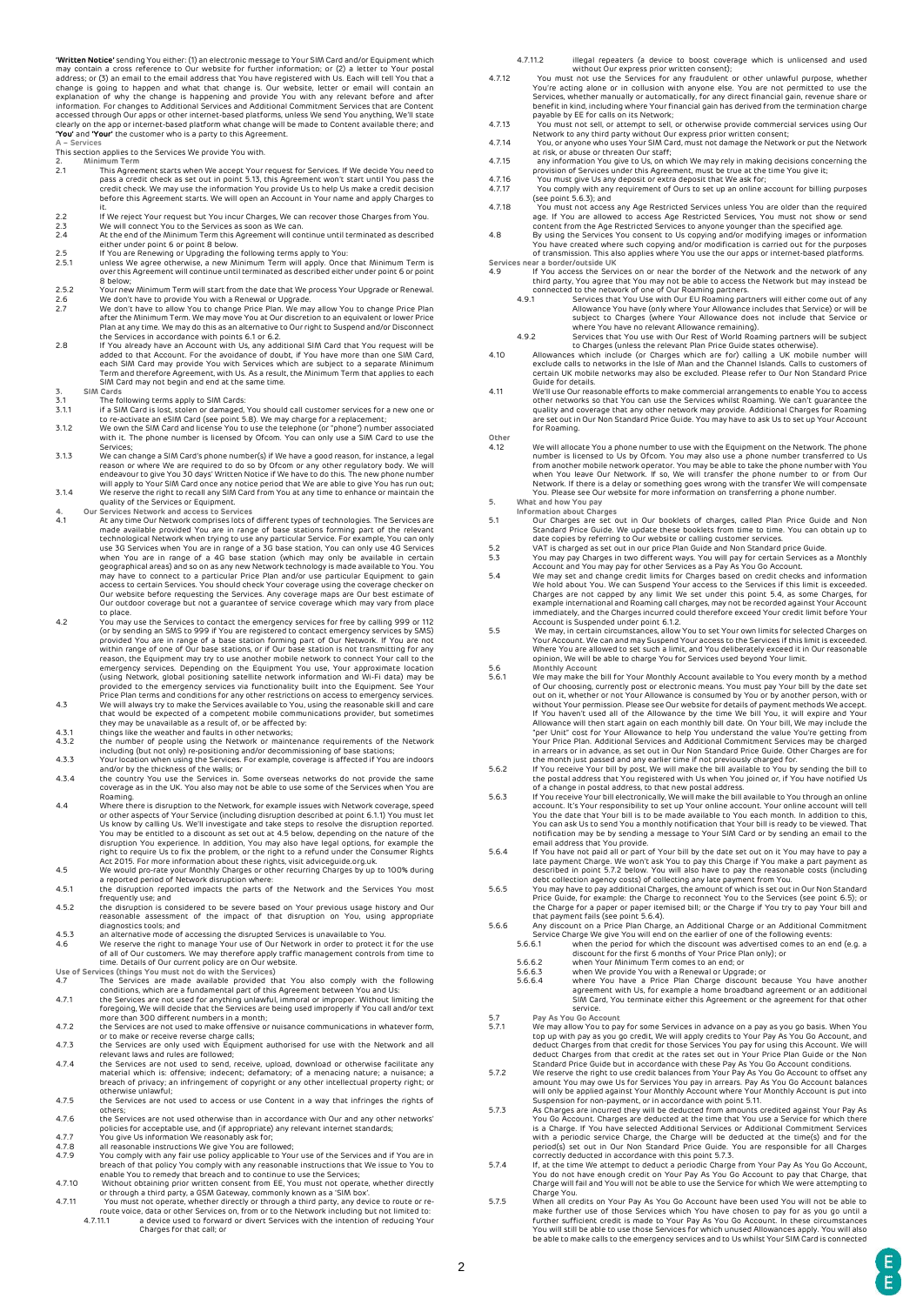**"Written Notice"** sending You either: (1) an electronic message to Your SIM Card and/or Equipment which may contain a cross reference to Our website for further information; or (2) a letter to Your postal<br>address; or (3) accessed through Our apps or other internet-based platforms, unless We send You anything, We'll state<br>clearly on the app or internet-based platform what change will be made to Content available there; and<br>**'You'** and **'You** 

- **A – Services**  This section applies to the Services We provide You with.
- 
- **2. Minimum Term**  2.1 This Agreement starts when We accept Your request for Services. If We decide You need to pass a credit check as set out in poin[t 5.13,](#page-2-17) this Agreement won't start until You pass the credit check. We may use the information You provide Us to help Us make a credit decision before this Agreement starts. We will open an Account in Your name and apply Charges to
- it.<br>2.2 If We reject Your request but You incur Charges, We can recover those Charges from You.<br>2.3 We will connect You to the Services as soon as We can.<br>2.4 At the end of the Minimum Term this Agreement will continue unt
- enther britter britt of the britt or Denis<br>2.5 If You are Renewing or Upgrading the following terms apply to You<br>2.5.1 In Thess We agree otherwise a new Minimum Term will annly Once
- <span id="page-1-3"></span>2.5.1 unless We agree otherwise, a new Minimum Term will apply. Once that Minimum Term is over this Agreement will continue until terminated as described either under poin[t 6](#page-2-18) or point
- <span id="page-1-5"></span><span id="page-1-4"></span>
- [8](#page-2-19) below;<br>2.5.2 Your new Minimum Term will start from the date that We process Your Upgrade or Renewal.<br>2.6 We don't have to provide You with a Renewal or Upgrade.<br>2.7 We don't have to allow You to change Price Plan. We may
- the Services in accordance with point[s 6.1](#page-2-20) or 6.2.<br>If You already have an Account with Us, any additional SIM Card that You request will be<br>added to that Account. For the avoidance of doubt, if You have more than one SIM C
- **3. SIM Cards**  3.1 The following terms apply to SIM Cards:
- <span id="page-1-11"></span>3.1.1 if a SIM Card is lost, stolen or damaged, You should call customer services for a new one or to re-activate an eSIM Card (see poin[t 5.8\).](#page-2-13) We may charge for a replacement;
- 3.1.2 We own the SIM Card and license You to use the telephone (or "phone") number associated with it. The phone number is licensed by Ofcom. You can only use a SIM Card to use the<br>Services:
- Services;<br>3.1.3 We can change a SIM Card's phone number(s) if We have a good reason, for instance, a legal<br>1.3.1.3 We can change a SIM Card's phone number(s) if We have a good reason or where We are required to do so by Of 3.1.4 We reserve the right to recall any SIM Card from You at any time to enhance or maintain the
- quality of the Services or Equipment.<br>Services Network and access to Services
- <span id="page-1-0"></span>4. Our Services Network and access to Services<br>are made available provided You are in range of base stations forming part of the relevant<br>technological Network when trying to use any particular Service. For example, You ca
- <span id="page-1-1"></span>to place.<br>You may use the Services to contact the emergency services for free by calling 999 or 112<br>(or by sending an SMS to 999 if You are registered to contact emergency services by SMS)<br>provided You are in range of a ba reason, the Equipment may try to use another mobile network to connect Your call to the<br>emergency services. Depending on the Equipment You use, Your approximate location<br>(using Network, global positioning satellite network
- <span id="page-1-2"></span>
- 
- 
- 4.3.1 this psi like the weather and faults in other networks;<br>4.3.2 the number of people using the Network or maintenance requirements of the Network<br>including (but not only) re-positioning and/or decommissioning of base
- Roaming.<br>Where there is disruption to the Network, for example issues with Network coverage, speed 4.4 Where there is disruption to the Network, for example issues with Network coverage, speed<br>or other aspects of Your Service (including disruption described at poin[t 6.1.1\)](#page-2-22) You must let<br>Us know by calling Us. We'll inves
- <span id="page-1-13"></span>
- frequently use; and 4.5.2 the disruption is considered to be severe based on Your previous usage history and Our
- reasonable assessment of the impact of that disruption on You, using appropriate
- 
- diagnostics tools; and 4.5.3 an alternative mode of accessing the disrupted Services is unavailable to You. 4.6 We reserve the right to manage Your use of Our Network in order to protect it for the use of all of Our customers. We may therefore apply traffic management controls from time to time. Details of Our current policy are on Our website.
- 
- <span id="page-1-12"></span>Use of Services (things You must not do with the Services) The Services are made available provided that You also comply with the following<br>conditions, which are a fundamental part of this Agreement between You and Us:<br>4.7
- 
- the Services are only used with Equipment authorised for use with the Network and all<br>relevant laws and rules are followed:
- relevant laws and rules are followed;<br>4.7.4 the Services are not used to send, receive, upload, download or otherwise facilitate any<br>material which is: offensive; indecent; defamatory; of a menacing nature; a nuisance; a<br>b
- others; 4.7.6 the Services are not used otherwise than in accordance with Our and any other networks'
- policies for acceptable use, and (if appropriate) any relevant internet standards;<br>
You nive Us information We reasonably ask for:
- <span id="page-1-14"></span>
- 4.7.3 and give Us information We reasonably ask for;<br>4.7.8 all reasonable instructions We give You are followed;<br>4.7.9 You comply with any fair use policy applicable to Your use of the Services and if You are in<br>4.7.9 You
- 
- 4.7.11 You must not operate, whether directly or through a third party, any device to route or re-route voice, data or other Services on, from or to the Network including but not limited to: 4.7.11.1 a device used to forward or divert Services with the intention of reducing Your Charges for that call; or
- 
- 4.7.11.2 illegal repeaters (a device to boost coverage which is unlicensed and used<br>without Our express prior written consent);<br>4.7.12 You must not use the Services for any fraudulent or other unlawful purpose, whether<br>You Services, whether manually or automatically, for any direct financial gain, revenue share or benefit in kind, including where Your financial gain has derived from the termination charge
- 
- payable by EE for calls on its Network;<br>Any of the Matter of the Matter of the Matter of the Network to any third party without Our express prior written consent;<br>Any one any third party without Our express prior written c
- 
- 
- 4.7.17 You comply with any requirement of Ours to set up an online account for billing purposes
- (see poin[t 5.6.3\);](#page-1-6) and<br>4.7.18 (see point 5.6.3); and<br>4.7.18 (apple may the Recense any Age Restricted Services, You must not show or send<br>4.8 (apple may to the Age Restricted Services to anyone younger than the specified a
- of transmission. This also applies where You use the our apps or internet-based platforms. **Services near a border/outside UK**
- 
- 19 If You access the Services on or near the border of the Network and the network of any<br>
third party, You agree that You may not be able to access the Network but may instead be<br>
connected to the network of one of Our Ro
	-
- to Charges (unless the relevant Plan Price Guide states otherwise).<br>Allowances which include (or Charges which are for) calling a UK mobile number will<br>exclude calls to networks in the Isle of Man and the Channel Islands.
- 4.11 We'll use Our reasonable efforts to make commercial arrangements to enable You to access<br>other networks so that You can use the Services whilst Roaming. We can't guarantee the<br>quality and coverage that any other netwo for Roaming.
- **Other**  4.12<br>We will allocate You a phone number to use with the Equipment on the Network. The phone<br>number is licensed to Us by Ofcom. You may also use a phone number transferred to Us<br>from another mobile network operator. You ma
- **5. What and how You pay Information about Charges**
- 5.1 Our Charges are set out in Our booklets of charges, called Plan Price Guide and Non<br>Standard Price Guide. We update these booklets from time to time. You can obtain up to<br>date copies by referring to Our website or call
- 
- <span id="page-1-7"></span>5.4 We may set and change credit limits for Charges based on credit checks and information<br>We hold about You. We can Suspend Your access to the Services if this limit is exceeded.<br>Charges are not capped by any limit We set
- opinion, We will be able to charge You for Services used beyond Your limit.
- <span id="page-1-15"></span>5.6.1 Monthly Account available to You every month by a method<br>5.6.1 We may make the bill for Your Monthly Account available to You every month by a method<br>of Our choosing, currently post or electronic means. You must pay "per Unit" cost for Your Allowance to help You understand the value You're getting from
- our Price Plan. Additional Services and Additional Commitment Services may be charged in arrears or in advance, as set out in Our Non Standard Price Guide. Other Charges are for<br>the month just passed and any earlier time i
- <span id="page-1-6"></span>account. It's Your responsibility to set up Your online account. Your online account will tell You the date that Your bill is to be made available to You each month. In addition to this<br>You can ask Us to send You a monthly notification that Your bill is ready to be viewed. That
- <span id="page-1-9"></span>You can ask Us to send You a monthly notification that Your bill is ready to be viewed. That<br>notification my be by sending a message to Your SIM Card or by sending an email to the<br>email address that You provide.<br>5.6.4 If Y
- Price Guide, for example: the Charge to reconnect You to the Services (see poin[t 6.5\);](#page-2-23) or the Charge for a paper or paper itemised bill; or the Charge if You try to pay Your bill and
- that payment fails (see poin[t 5.6.4\).](#page-1-9)<br>5.6.6 Any discount on a Price Plan Charge, an Additional Charge or an Additional Commitment<br>Service Charge We give You will end on the earlier of one of the following events:<br>5.6.6.1 w
- -
- 5.6.6.3 when Your Minimum Term comes to an end; or<br>5.6.6.3 when We provide You with a Renewal or Upgrade; or<br>5.6.6.4 where You have a Price Plan Charge discount because You have another<br>agreement with Us, for example a hom
	-
- deduct Charges from that credit at the rates set out in Your Price Plan Guide or the Non<br>Standard Price Guide but in accordance with these Pay As You Go Account conditions.
- <span id="page-1-8"></span>Standard Price Guide but in accordance with these Pay As You Go Account conditions.<br>We reserve the right to use credit balances from Your Pay As You Go Account to offset any<br>amount You may owe Us for Services You pay in ar
- <span id="page-1-10"></span>with a periodic service Charge, the Charge will be deducted at the time(s) and for the period(s) set out in Our Non Standard Price Guide. You are responsible for all Charges
- correctly deducted in accordance with this point 5.7.3.<br>5.7.4 If, at the time We attempt to deduct a periodic Charge from Your Pay As You Go Account,<br>You do not have enough credit on Your Pay As You Go Account to pay that Charge You.
- 5.7.5 When all credits on Your Pay As You Go Account have been used You will not be able to make further use of those Services which You have chosen to pay for as you go until a<br>further sufficient credit is made to Your Pay As You Go Account. In these circumstances<br>You will still be able to use those Services for
- 
-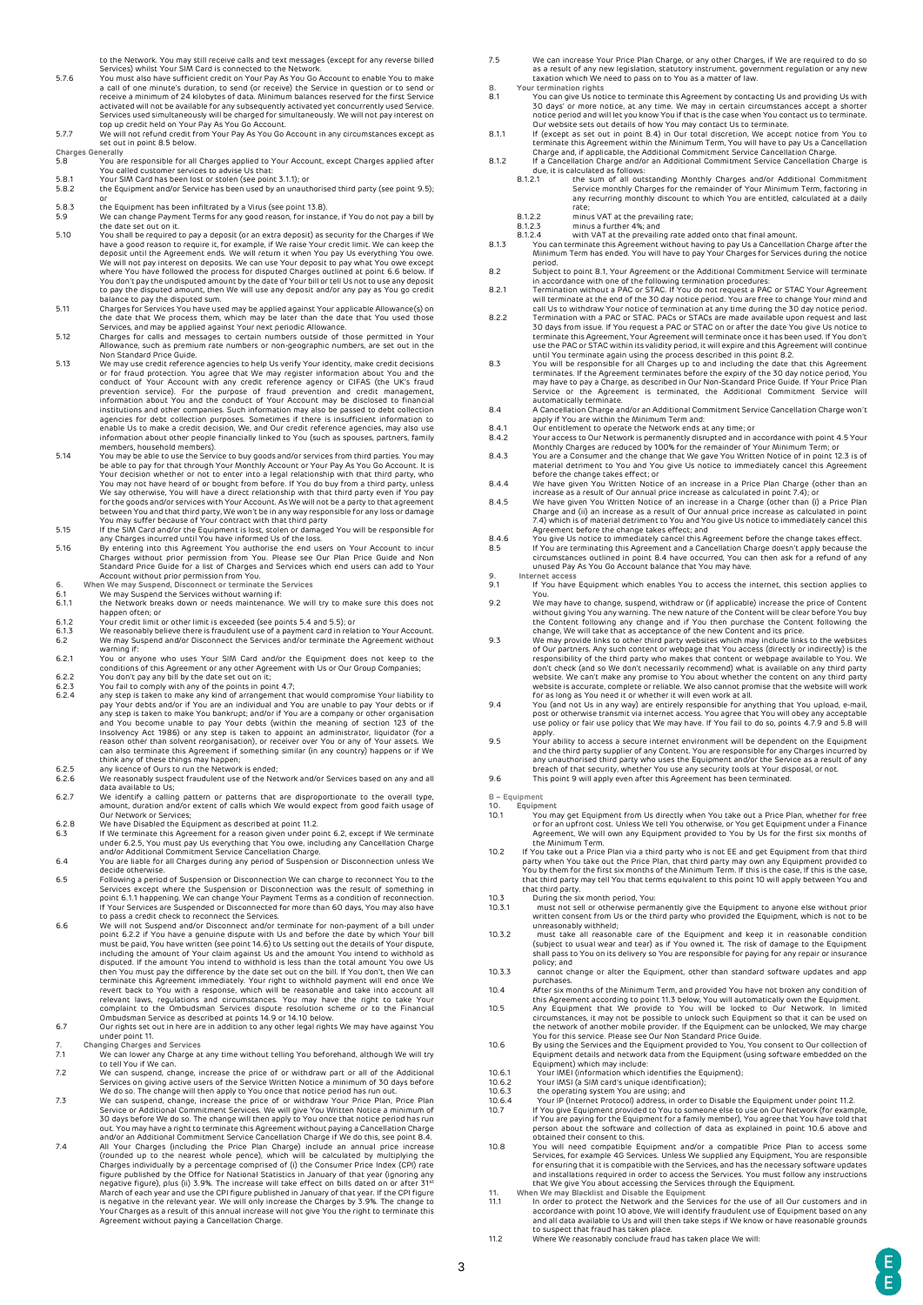- to the Network. You may still receive calls and text messages (except for any reverse billed<br>Services) whilst Your SIM Card is connected to the Network.<br>You must also have sufficient credit on Your Pay As You Go Account to activated will not be available for any subsequently activated yet concurrently used Service.<br>Services used simultaneously will be charged for simultaneously. We will not pay interest on<br>top up credit held on Your Pay As Y
- 
- <span id="page-2-13"></span>**Charges Generally**  5.8 You are responsible for all Charges applied to Your Account, except Charges applied after You called customer services to advise Us that: 5.8.1 Your SIM Card has been lost or stolen (see poin[t 3.1.1\);](#page-1-11) or
- 5.8.2 the Equipment and/or Service has been used by an unauthorised third party (see poin[t 9.5\);](#page-2-26)
- 
- or 5.8.3 the Equipment has been infiltrated by a Virus (see poin[t 13.8\).](#page-3-2) 5.9 We can change Payment Terms for any good reason, for instance, if You do not pay a bill by the date set out on it. 5.10 You shall be required to pay a deposit (or an extra deposit) as security for the Charges if We
- have a good reason to require it, for example, if We raise Your credit limit. We can keep the deposit until the Agreement ends. We will return it when You pay Us everything You owe. deposit until the Agreement ends. We will return it when You pay Us everything You owe.<br>We will not pay interest on deposits. We can use Your deposit to pay what You owe except<br>where You have followed the process for dispu
- <span id="page-2-24"></span>
- Allowance, such as premium rate numbers or non-geographic numbers, are set out in the<br>Mon Standard Price Guide
- <span id="page-2-17"></span>Non Standard Price Guide.<br>S.13 We may use credit reference agencies to help Us verify Your identity, make credit decisions<br>or for fraud protection. You agree that We may register information about You and the<br>conduct of Yo enable Us to make a credit decision, We, and Our credit reference agencies, may also use information about other people financially linked to You (such as spouses, partners, family members, household members).
- 5.14 You may be able to use the Service to buy goods and/or services from third parties. You may<br>be able to pay for that through Your Monthly Account or Your Pay As You Go Account. It is<br>Your decision whether or not to ent We say otherwise, You will have a direct relationship with that third party even if You pay for the goods and/or services with Your Account. As We will not be a party to that agreement<br>between You and that third party, We won't be in any way responsible for any loss or damage<br>You may suffer because of Your contra
- <span id="page-2-14"></span>
- <span id="page-2-15"></span>if the SIM Card and/or the Equipment is lost, stolen or damaged You will be responsible for<br>any Charges incurred until You have informed Us of the loss.<br>By entering into this Agreement You authorise the end users on Your A Account without prior permission from You. **6. When We may Suspend, Disconnect or terminate the Services**
- <span id="page-2-18"></span>
- <span id="page-2-22"></span><span id="page-2-20"></span>6.1 We may Suspend the Services without warning if: 6.1.1 the Network breaks down or needs maintenance. We will try to make sure this does not happen often; or 6.1.2 Your credit limit or other limit is exceeded (see points [5.4](#page-1-7) and 5.5); or
- <span id="page-2-16"></span>6.1.3 We reasonably believe there is fraudulent use of a payment card in relation to Your Account. 6.2 We may Suspend and/or Disconnect the Services and/or terminate the Agreement without
- <span id="page-2-21"></span>warning if:<br>You or anyone who uses Your SIM Card and/or the Equipment does not keep to the
- <span id="page-2-12"></span>
- 6.2.1 You or any<br>conditions of this Agreement or any other Agreement with Us or Our Group Companies;<br>6.2.2 You don't pay any bill by the date set out on it;<br>6.2.3 You don't pay any bill by the date set out on it;<br>6.2.4 any and You become unable to pay Your debts (within the meaning of section 123 of the
- Insolvency Act 1986) or any step is taken to appoint an administrator, liquidator (for a<br>reason other than solvent reorganisation), or receiver over You or any of Your assets. We<br>can also terminate this Agreement if someth
- <span id="page-2-28"></span>
- 6.2.7 We identify a calling pattern or patterns that are disproportionate to the overall type, amount, duration and/or extent of calls which We would expect from good faith usage of Our Network or Services;
- 6.2.8 U. D. Metwork of Bervices,<br>6.2.8 We have Disabled the Equipment as described at point 11.2.<br>6.3 B. Markeminate this Agreement for a reason given under or
- <span id="page-2-11"></span>6.3 If We terminate this Agreement for a reason given under poin[t 6.2,](#page-2-21) except if We terminate<br>unde[r 6.2.5,](#page-2-28) You must pay Us everything that You owe, including any Cancellation Charge<br>and/or Additional Commitment Service Can
- decide otherwise. 6.5 Following a period of Suspension or Disconnection We can charge to reconnect You to the
- <span id="page-2-23"></span>Services except where the Suspension or Disconnection was the result of something in<br>poin[t 6.1.1](#page-2-22) happening. We can change Your Payment Terms as a condition of reconnection.<br>If Your Services are Suspended or Disconnected fo

<span id="page-2-27"></span>to pass a credit check to reconnect the Services.<br>We will not Suspend and/or Disconnect and/or terminate for non-payment of a bill under<br>poin[t 6.2.2](#page-2-12) if You have a genuine dispute with Us and before the date by which Your b then You must pay the difference by the date set out on the bill. If You don't, then We can<br>terminate this Agreement immediately. Your right to withhold payment will end once We<br>revert back to You with a response, which wi

- under poin[t 11.](#page-2-29)
- **7.** Changing Charges and Services<br>**7.1** We can lower any Charge al
- We can lower any Charge at any time without telling You beforehand, although We will try<br>to tell You if We can.
- 
- Volume 11 You if We can.<br>22 We can suspend, change, increase the price of or withdraw part or all of the Additional<br>5 Services on giving active users of the Service Written Notice a minimum of 30 days before<br>3 We do so. Th
- <span id="page-2-30"></span>out. You may have a right to terminate this Agreement without paying a Cancellation Charge<br>and/or an Additional Commitment Service Cancellation Charge if We do this, see point 8.4.<br>All Your Charges (including the Price Pla is negative in the relevant year. We will only increase the Charges by 3.9%. The change to Your Charges as a result of this annual increase will not give You the right to terminate this Agreement without paying a Cancellation Charge.
- 7.5 We can increase Your Price Plan Charge, or any other Charges, if We are required to do so<br>as a result of any new legislation, statutory instrument, government regulation or any new<br>taxation which We need to pass on to
- <span id="page-2-19"></span><span id="page-2-8"></span>**8. Your termination rights**  8.1 You can give Us notice to terminate this Agreement by contacting Us with<br>30 days' or more notice, at any time. We may in certain circumstances accept a shorter<br>notice period and will let you know You if that is the cas
- 
- - Service monthly Charges for the remainder of Your Minimum Term, factoring in any recurring monthly discount to which You are entitled, calculated at a daily<br>rate: rate; 8.1.2.2 minus VAT at the prevailing rate; 8.1.2.3 minus a further 4%; and 8.1.2.4 with VAT at the prevailing rate added onto that final amount.
	-
	-
- 8.1.3 You can terminate this Agreement without having to pay Us a Cancellation Charge after the Minimum Term has ended. You will have to pay Your Charges for Services during the notice
- <span id="page-2-9"></span>period. 8.2 Subject to poin[t 8.1,](#page-2-8) Your Agreement or the Additional Commitment Service will terminate
- in accordance with one of the following termination procedures:<br>Termination without a PAC or STAC. If You do not request a PAC or STAC Your Agreement<br>will terminate at the end of the 30 day notice period. You are free to c
- terminate this Agreement, Your Agreement will terminate once it has been used. If You don't use the PAC or STAC within its validity period, it will expire and this Agreement will continue
- <span id="page-2-10"></span>until You terminate again using the process described in this point 8.2.<br>To will be responsible for all Charges up to and including the date that this Agreement<br>terminates. If the Agreement terminates before the expiry of
- <span id="page-2-7"></span>automatically terminate.<br>8.4 A Cancellation Charge and/or an Additional Commitment Service Cancellation Charge won't<br>apply if You are within the Minimum Term and:
- 
- apply if You are within the Minimum Term and:<br>
8.4.1 Our entitlement to operate the Network ends at any time; or<br>
8.4.2 Your access to Our Network is permanently disrupted and in accordance with poin[t 4.5](#page-1-13) Your<br>
Monthly Cha
- 
- increase as a result of Our annual price increase as calculated in poin[t 7.4\);](#page-2-30) or<br>B.4.5 We have given You Written Notice of an increase in a Charge (other than (i) a Price Plan<br>Charge and (ii) an increase as a resu
- 7.4) which is of material detriment to You and You give Us notice to immediately cancel this
- <span id="page-2-25"></span>Agreement before the change takes effect; and<br>B.4.6 You give Us notice to immediately cancel this Agreement before the change takes effect.<br>B.5 If You are terminating this Agreement and a Cancellation Charge doesn't apply
- <span id="page-2-31"></span>**9. Internet acces** 9.1 If You have Equipment which enables You to access the internet, this section applies to
- 9.2<br>
We may have to change, suspend, withdraw or (if applicable) increase the price of Content<br>
without giving You any warning. The new nature of the Content will be clear before You buy<br>
the Content following any change a
- responsibility of the third party who makes that content or webpage available to You. We<br>don't check (and so We don't necessarily recommend) what is available on any third party<br>website. We can't make any promise to You ab
- apply.
- <span id="page-2-26"></span>9.5 Your ability to access a secure internet environment will be dependent on the Equipment and the third party supplier of any Content. You are responsible for any Charges incurred by<br>any unauthorised third party who uses the Equipment and/or the Service as a result of any<br>breach of that security, whether You us
- 
- **B – Equipment**
- <span id="page-2-32"></span>
- <span id="page-2-0"></span>**10. Equipment**  10.1 You may get Equipment from Us directly when You take out a Price Plan, whether for free or for an upfront cost. Unless We tell You otherwise, or You get Equipment under a Finance
- <span id="page-2-1"></span>Agreement, We will own any Equipment provided to You by Us for the first six months of<br>the Minimum Term.<br>The Microsoft of the Microsoft of the Microsoft Proutake out a Price Plan via a third party who is not EE and get Equ that third party.
- 
- <span id="page-2-3"></span>10.3 During the six month period, You:
- <span id="page-2-2"></span>10.3.1 must not sell or otherwise permanently give the Equipment to anyone else without prior written consent from Us or the third party who provided the Equipment, which is not to be unreasonably withheld;<br>10.3.2 must tak policy; and
- 10.3.3 cannot change or alter the Equipment, other than standard software updates and app<br>purchases
- <span id="page-2-6"></span>
- purchases.<br>
After six months of the Minimum Term, and provided You have not broken any condition of<br>
this Agreement according to poin[t 11.3](#page-3-0) below, You will automatically own the Equipment<br>
10.5 Any Equipment that We provid
- 10.6 By using the Services and the Equipment provided to You, You consent to Our collection of Equipment details and network data from the Equipment (using software embedded on the<br>Equipment) which may include:<br>10.6.1 Your IMEI (information which identifies the Equipment);<br>10.6.2 Your IMSI (a SIM card's unique ident
- 
- 
- 
- If You give Equipment provided to You to someone else to use on Our Network (for example,<br>If You are paying for the Equipment for a family member), You agree that You have told that<br>person about the software and collection obtained their consent to this.<br>You will need compatible Equipment and/or a compatible Price Plan to access some
- You will need compatible Equipment and/or a compatible Price Plan to access some<br>Services, for example 4G Services. Unless We supplied any Equipment, You are responsible<br>for ensuring that it is compatible with the Services
- <span id="page-2-29"></span>11. When We may Blacklist and Disable the Equipment<br>11.1 In order to protect the Network and the Services for the use of all Our customers and in
- <span id="page-2-4"></span>accordance with point 10 above, We will identify fraudulent use of Equipment based on any<br>and all data available to Us and will then take steps if We know or have reasonable grounds<br>to suspect that fraud has taken place.<br>1
- <span id="page-2-5"></span>